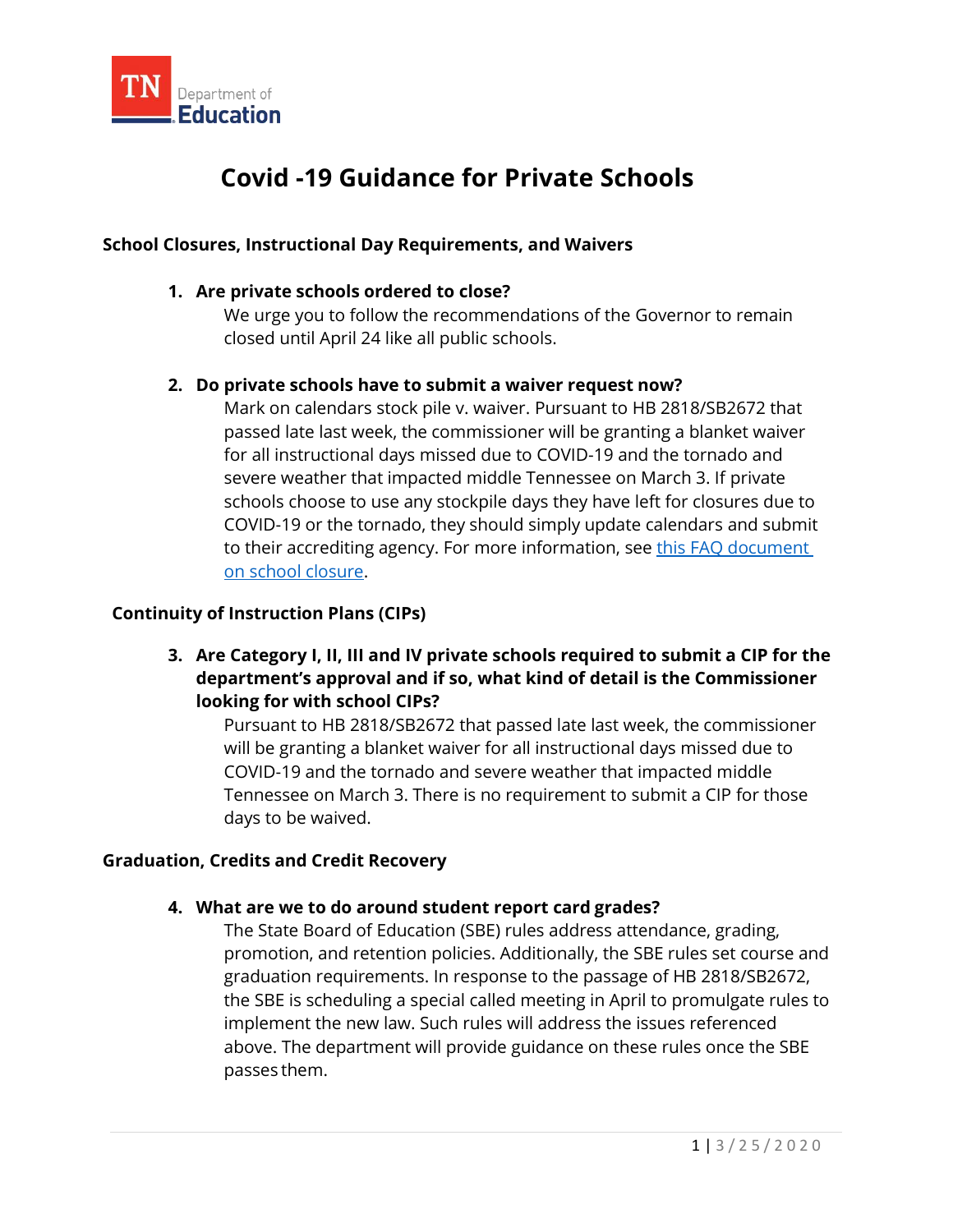

# **Covid -19 Guidance for Private Schools**

#### **School Closures, Instructional Day Requirements, and Waivers**

#### **1. Are private schools ordered to close?**

 We urge you to follow the recommendations of the Governor to remain closed until April 24 like all public schools.

#### **2. Do private schools have to submit a waiver request now?**

 passed late last week, the commissioner will be granting a blanket waiver severe weather that impacted middle Tennessee on March 3. If private [on school closure.](https://www.tn.gov/content/dam/tn/education/health-%26-safety/FAQs_on_School_Closure_COVID-19_Guidance_3.17.20.pdf) Mark on calendars stock pile v. waiver. Pursuant to HB 2818/SB2672 that for all instructional days missed due to COVID-19 and the tornado and schools choose to use any stockpile days they have left for closures due to COVID-19 or the tornado, they should simply update calendars and submit to their accrediting agency. For more information, see [this FAQ document](https://www.tn.gov/content/dam/tn/education/health-%26-safety/FAQs_on_School_Closure_COVID-19_Guidance_3.17.20.pdf) 

#### **Continuity of Instruction Plans (CIPs)**

 **3. Are Category I, II, III and IV private schools required to submit a CIP for the department's approval and if so, what kind of detail is the Commissioner looking for with school CIPs?** 

 Pursuant to HB 2818/SB2672 that passed late last week, the commissioner COVID-19 and the tornado and severe weather that impacted middle Tennessee on March 3. There is no requirement to submit a CIP for those days to be waived. will be granting a blanket waiver for all instructional days missed due to

#### **Graduation, Credits and Credit Recovery**

#### **4. What are we to do around student report card grades?**

 graduation requirements. In response to the passage of HB 2818/SB2672, the SBE is scheduling a special called meeting in April to promulgate rules to The State Board of Education (SBE) rules address attendance, grading, promotion, and retention policies. Additionally, the SBE rules set course and implement the new law. Such rules will address the issues referenced above. The department will provide guidance on these rules once the SBE passes them.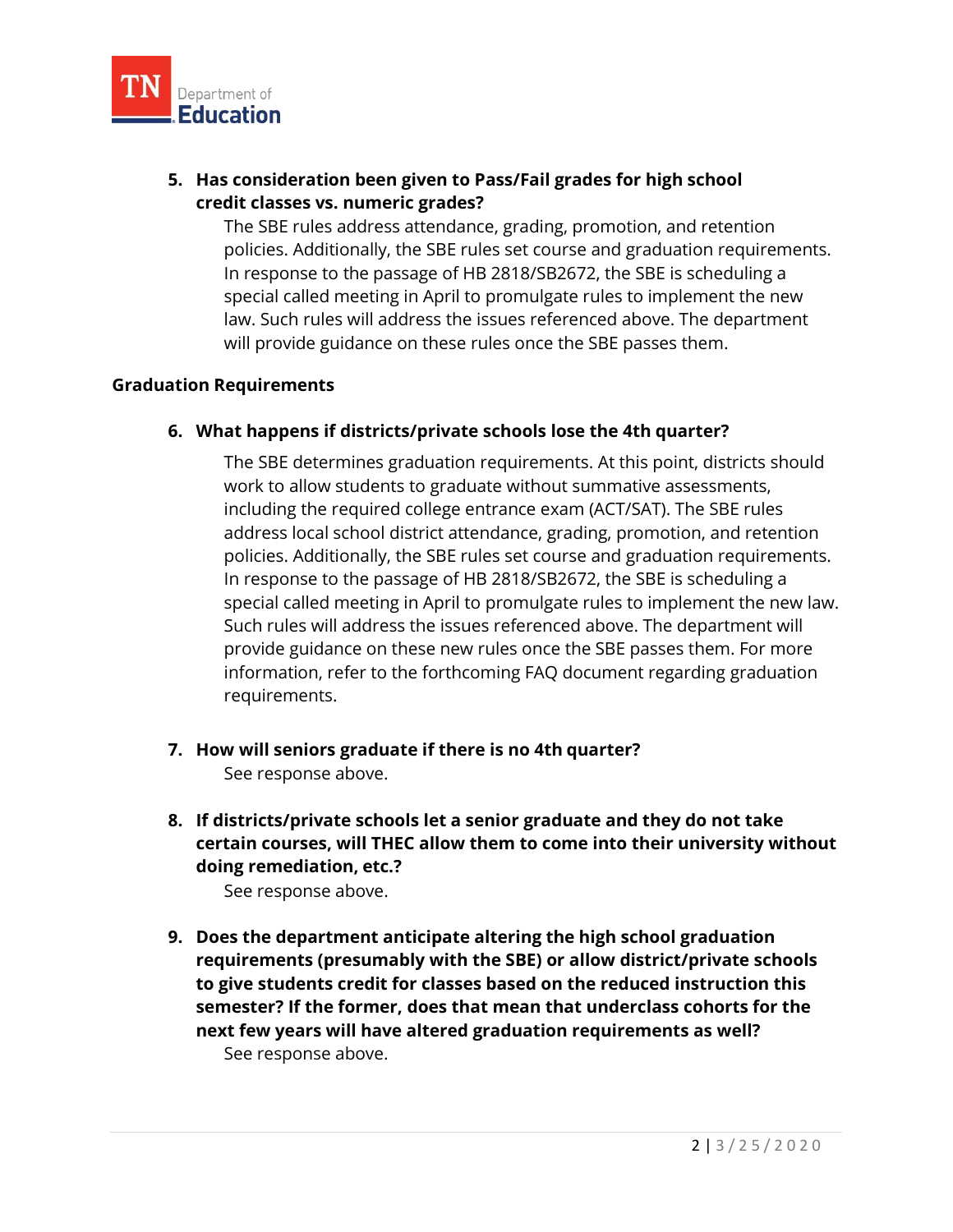

## **credit classes vs. numeric grades? 5. Has consideration been given to Pass/Fail grades for high school**

 The SBE rules address attendance, grading, promotion, and retention In response to the passage of HB 2818/SB2672, the SBE is scheduling a will provide guidance on these rules once the SBE passes them. policies. Additionally, the SBE rules set course and graduation requirements. special called meeting in April to promulgate rules to implement the new law. Such rules will address the issues referenced above. The department

#### **Graduation Requirements**

#### **6. What happens if districts/private schools lose the 4th quarter?**

 address local school district attendance, grading, promotion, and retention provide guidance on these new rules once the SBE passes them. For more The SBE determines graduation requirements. At this point, districts should work to allow students to graduate without summative assessments, including the required college entrance exam (ACT/SAT). The SBE rules policies. Additionally, the SBE rules set course and graduation requirements. In response to the passage of HB 2818/SB2672, the SBE is scheduling a special called meeting in April to promulgate rules to implement the new law. Such rules will address the issues referenced above. The department will information, refer to the forthcoming FAQ document regarding graduation requirements.

- See response above. **7. How will seniors graduate if there is no 4th quarter?**
- **8. If districts/private schools let a senior graduate and they do not take certain courses, will THEC allow them to come into their university without doing remediation, etc.?**

See response above.

 **semester? If the former, does that mean that underclass cohorts for the next few years will have altered graduation requirements as well?**  See response above. **9. Does the department anticipate altering the high school graduation requirements (presumably with the SBE) or allow district/private schools to give students credit for classes based on the reduced instruction this**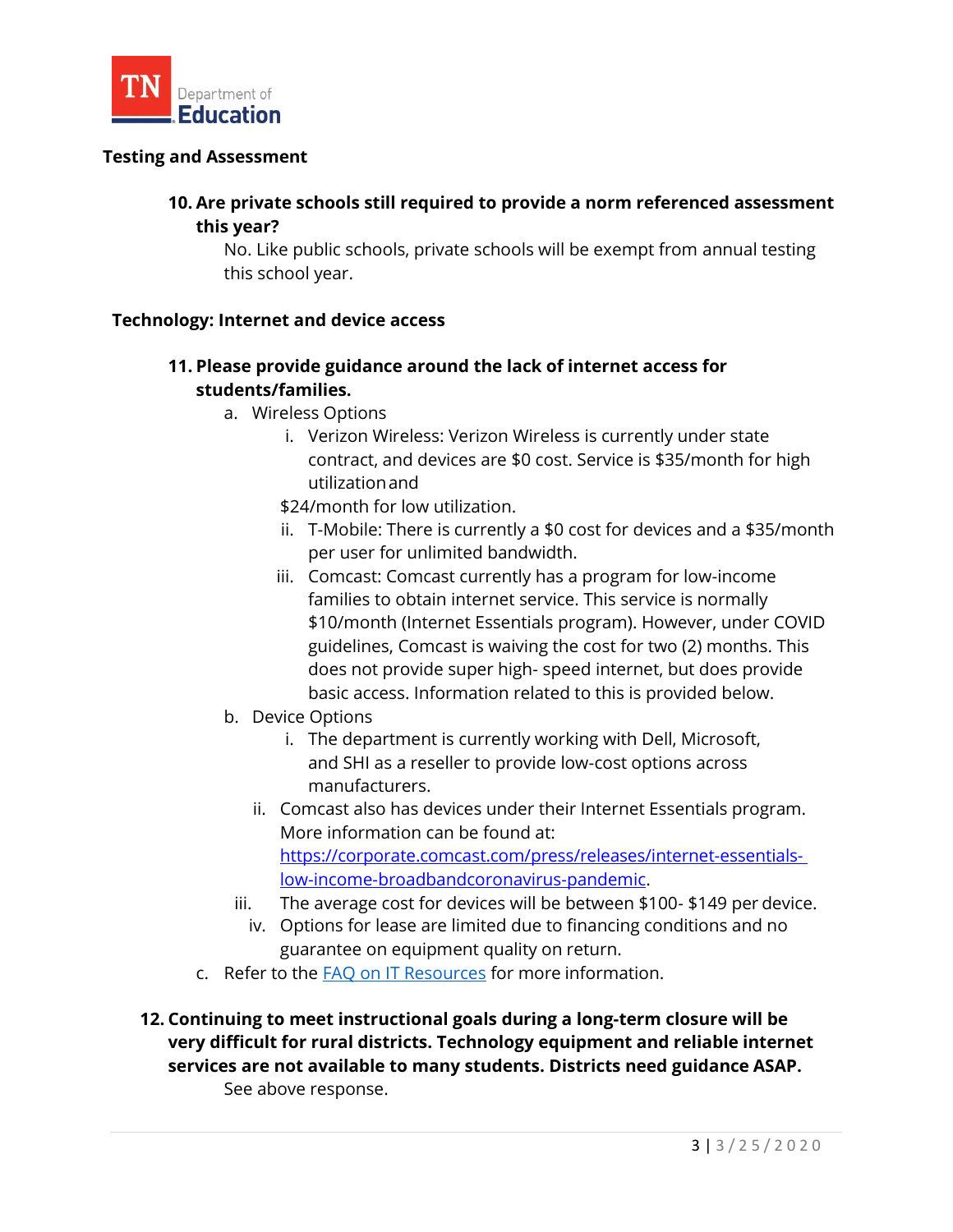

#### **Testing and Assessment**

## **10. Are private schools still required to provide a norm referenced assessment this year?**

No. Like public schools, private schools will be exempt from annual testing this school year.

#### **Technology: Internet and device access**

## **11. Please provide guidance around the lack of internet access for students/families.**

- a. Wireless Options
	- utilizationand i. Verizon Wireless: Verizon Wireless is currently under state contract, and devices are \$0 cost. Service is \$35/month for high
	- \$24/month for low utilization.
	- ii. T-Mobile: There is currently a \$0 cost for devices and a \$35/month per user for unlimited bandwidth.
	- does not provide super high- speed internet, but does provide basic access. Information related to this is provided below. iii. Comcast: Comcast currently has a program for low-income families to obtain internet service. This service is normally \$10/month (Internet Essentials program). However, under COVID guidelines, Comcast is waiving the cost for two (2) months. This
- b. Device Options
	- i. The department is currently working with Dell, Microsoft, and SHI as a reseller to provide low-cost options across manufacturers.
	- ii. Comcast also has devices under their Internet Essentials program. More information can be found at: [https://corporate.comcast.com/press/releases/internet-essentials](https://corporate.comcast.com/press/releases/internet-essentials-%20low-income-broadbandcoronavirus-pandemic)[low-income-broadbandcoronavirus-pandemic.](https://corporate.comcast.com/press/releases/internet-essentials-%20low-income-broadbandcoronavirus-pandemic)
	- iii. The average cost for devices will be between \$100- \$149 per device.
	- guarantee on equipment quality on return. iv. Options for lease are limited due to financing conditions and no
- c. Refer to the **FAQ on IT Resources** for more information.
- **services are not available to many students. Districts need guidance ASAP.**  See above response. **12. Continuing to meet instructional goals during a long-term closure will be very difficult for rural districts. Technology equipment and reliable internet**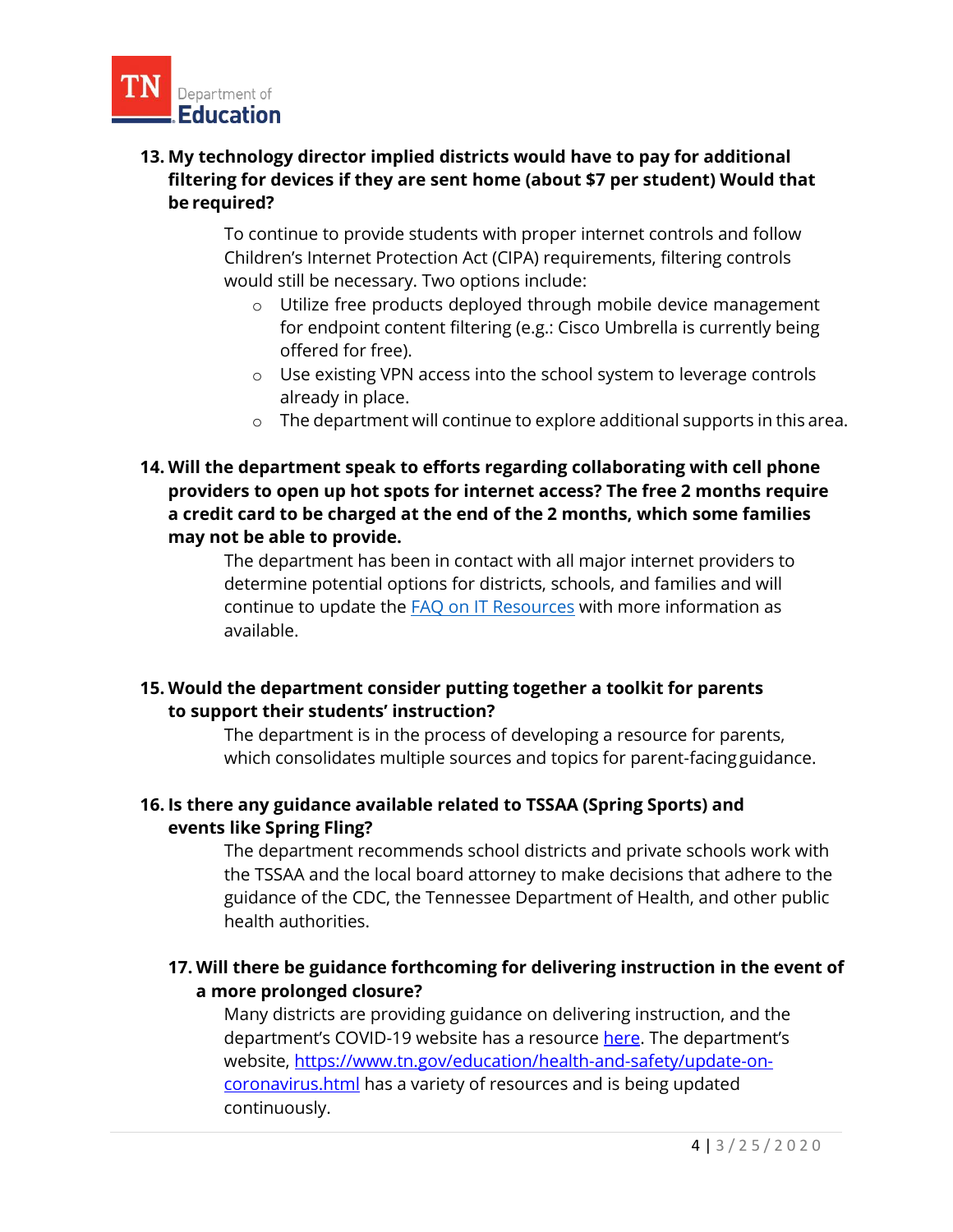

## **be required? 13. My technology director implied districts would have to pay for additional filtering for devices if they are sent home (about \$7 per student) Would that**

 would still be necessary. Two options include: To continue to provide students with proper internet controls and follow Children's Internet Protection Act (CIPA) requirements, filtering controls

- o Utilize free products deployed through mobile device management for endpoint content filtering (e.g.: Cisco Umbrella is currently being offered for free).
- already in place. o Use existing VPN access into the school system to leverage controls
- $\circ$  The department will continue to explore additional supports in this area.
- **a credit card to be charged at the end of the 2 months, which some families 14. Will the department speak to efforts regarding collaborating with cell phone providers to open up hot spots for internet access? The free 2 months require may not be able to provide.**

The department has been in contact with all major internet providers to determine potential options for districts, schools, and families and will continue to update the **FAQ on IT Resources** with more information as available.

## **15. Would the department consider putting together a toolkit for parents to support their students' instruction?**

 The department is in the process of developing a resource for parents, which consolidates multiple sources and topics for parent-facing guidance.

## **events like Spring Fling? 16. Is there any guidance available related to TSSAA (Spring Sports) and**

 the TSSAA and the local board attorney to make decisions that adhere to the guidance of the CDC, the Tennessee Department of Health, and other public The department recommends school districts and private schools work with health authorities.

# **17. Will there be guidance forthcoming for delivering instruction in the event of a more prolonged closure?**

[coronavirus.html](https://www.tn.gov/education/health-and-safety/update-on-coronavirus.html) has a variety of resources and is being updated Many districts are providing guidance on delivering instruction, and the department's COVID-19 website has a resource [here](https://www.tn.gov/content/dam/tn/education/health-&-safety/Continuity%20of%20Instruction%20COVID-19%20Guidance.pdf). The department's website, [https://www.tn.gov/education/health-and-safety/update-on](https://www.tn.gov/education/health-and-safety/update-on-coronavirus.html)continuously.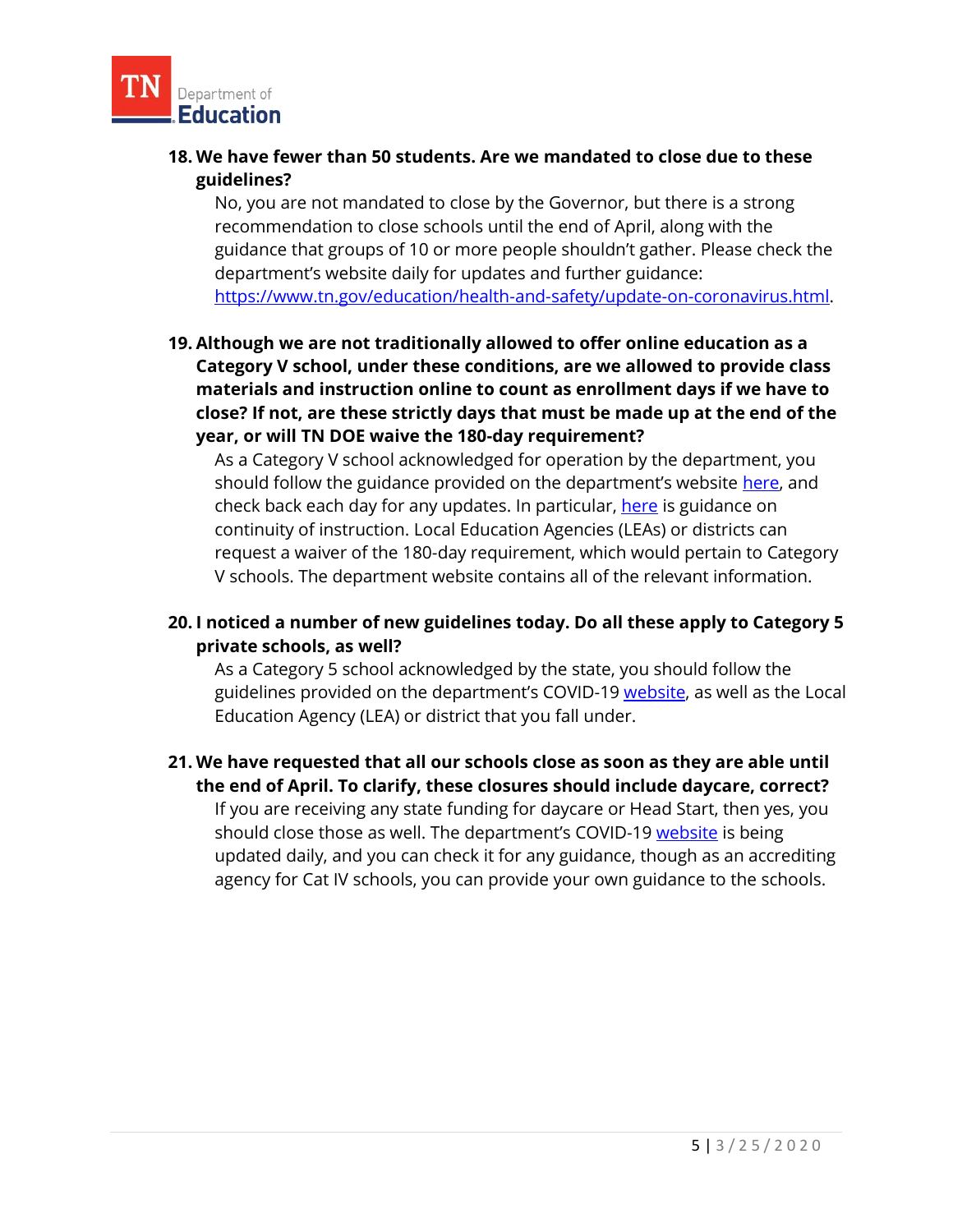

## **.Education** --**18. We have fewer than 50 students. Are we mandated to close due to these guidelines?**

 recommendation to close schools until the end of April, along with the No, you are not mandated to close by the Governor, but there is a strong guidance that groups of 10 or more people shouldn't gather. Please check the department's website daily for updates and further guidance: [https://www.tn.gov/education/health-and-safety/update-on-coronavirus.html.](https://www.tn.gov/education/health-and-safety/update-on-coronavirus.html)

 **19. Although we are not traditionally allowed to offer online education as a year, or will TN DOE waive the 180-day requirement? Category V school, under these conditions, are we allowed to provide class materials and instruction online to count as enrollment days if we have to close? If not, are these strictly days that must be made up at the end of the** 

check back each day for any updates. In particular, <u>here</u> is guidance on As a Category V school acknowledged for operation by the department, you should follow the guidance provided on the department's website [here,](https://www.tn.gov/education/health-and-safety/update-on-coronavirus.html) and continuity of instruction. Local Education Agencies (LEAs) or districts can request a waiver of the 180-day requirement, which would pertain to Category V schools. The department website contains all of the relevant information.

## **20. I noticed a number of new guidelines today. Do all these apply to Category 5 private schools, as well?**

guidelines provided on the department's COVID-19 <u>website</u>, as well as the Local As a Category 5 school acknowledged by the state, you should follow the Education Agency (LEA) or district that you fall under.

### **21. We have requested that all our schools close as soon as they are able until the end of April. To clarify, these closures should include daycare, correct?**

should close those as well. The department's COVID-19 <u>website</u> is being If you are receiving any state funding for daycare or Head Start, then yes, you updated daily, and you can check it for any guidance, though as an accrediting agency for Cat IV schools, you can provide your own guidance to the schools.